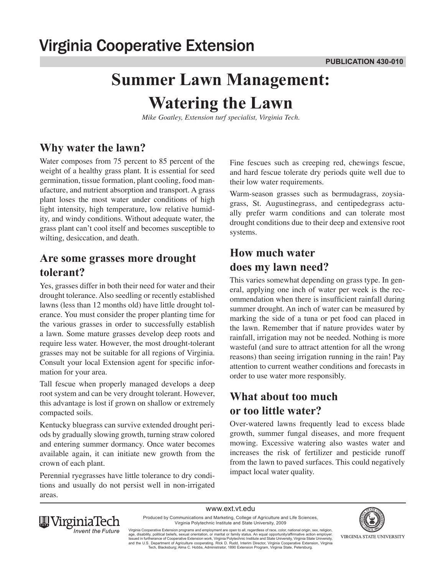# **Summer Lawn Management: Watering the Lawn**

*Mike Goatley, Extension turf specialist, Virginia Tech.*

## **Why water the lawn?**

Water composes from 75 percent to 85 percent of the weight of a healthy grass plant. It is essential for seed germination, tissue formation, plant cooling, food manufacture, and nutrient absorption and transport. A grass plant loses the most water under conditions of high light intensity, high temperature, low relative humidity, and windy conditions. Without adequate water, the grass plant can't cool itself and becomes susceptible to wilting, desiccation, and death.

#### **Are some grasses more drought tolerant?**

Yes, grasses differ in both their need for water and their drought tolerance. Also seedling or recently established lawns (less than 12 months old) have little drought tolerance. You must consider the proper planting time for the various grasses in order to successfully establish a lawn. Some mature grasses develop deep roots and require less water. However, the most drought-tolerant grasses may not be suitable for all regions of Virginia. Consult your local Extension agent for specific information for your area.

Tall fescue when properly managed develops a deep root system and can be very drought tolerant. However, this advantage is lost if grown on shallow or extremely compacted soils.

Kentucky bluegrass can survive extended drought periods by gradually slowing growth, turning straw colored and entering summer dormancy. Once water becomes available again, it can initiate new growth from the crown of each plant.

Perennial ryegrasses have little tolerance to dry conditions and usually do not persist well in non-irrigated areas.

Fine fescues such as creeping red, chewings fescue, and hard fescue tolerate dry periods quite well due to their low water requirements.

Warm-season grasses such as bermudagrass, zoysiagrass, St. Augustinegrass, and centipedegrass actually prefer warm conditions and can tolerate most drought conditions due to their deep and extensive root systems.

### **How much water does my lawn need?**

This varies somewhat depending on grass type. In general, applying one inch of water per week is the recommendation when there is insufficient rainfall during summer drought. An inch of water can be measured by marking the side of a tuna or pet food can placed in the lawn. Remember that if nature provides water by rainfall, irrigation may not be needed. Nothing is more wasteful (and sure to attract attention for all the wrong reasons) than seeing irrigation running in the rain! Pay attention to current weather conditions and forecasts in order to use water more responsibly.

## **What about too much or too little water?**

Over-watered lawns frequently lead to excess blade growth, summer fungal diseases, and more frequent mowing. Excessive watering also wastes water and increases the risk of fertilizer and pesticide runoff from the lawn to paved surfaces. This could negatively impact local water quality.



Produced by Communications and Marketing, College of Agriculture and Life Sciences, VIRGINIA STATE UNIVERSITY

www.ext.vt.edu Virginia Polytechnic Institute and State University, 2009

Virginia Cooperative Extension programs and employment are open to all, regardless of race, color, national origin, sex, religion,<br>age, disability, political beliefs, sexual orientation, or marital or family status. An equ and the U.S. Department of Agriculture cooperating. RIck D. Rudd, Interim Director, Virginia Cooperative Extension, Virginia<br>Tech, Blacksburg; Alma C. Hobbs, Administrator, 1890 Extension Program, Virginia State, Petersbur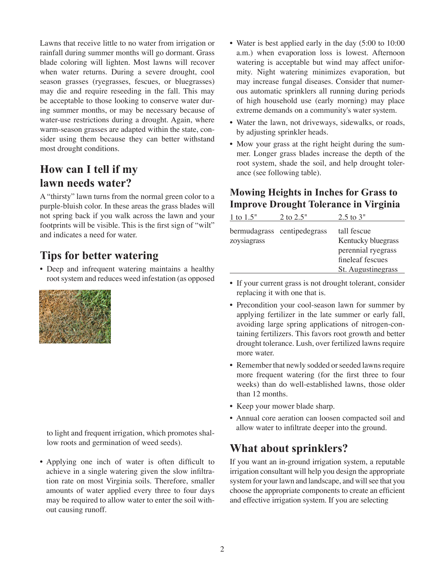Lawns that receive little to no water from irrigation or rainfall during summer months will go dormant. Grass blade coloring will lighten. Most lawns will recover when water returns. During a severe drought, cool season grasses (ryegrasses, fescues, or bluegrasses) may die and require reseeding in the fall. This may be acceptable to those looking to conserve water during summer months, or may be necessary because of water-use restrictions during a drought. Again, where warm-season grasses are adapted within the state, consider using them because they can better withstand most drought conditions.

# **How can I tell if my lawn needs water?**

A "thirsty" lawn turns from the normal green color to a purple-bluish color. In these areas the grass blades will not spring back if you walk across the lawn and your footprints will be visible. This is the first sign of "wilt" and indicates a need for water.

## **Tips for better watering**

• Deep and infrequent watering maintains a healthy root system and reduces weed infestation (as opposed



to light and frequent irrigation, which promotes shallow roots and germination of weed seeds).

• Applying one inch of water is often difficult to achieve in a single watering given the slow infiltration rate on most Virginia soils. Therefore, smaller amounts of water applied every three to four days may be required to allow water to enter the soil without causing runoff.

- Water is best applied early in the day (5:00 to 10:00 a.m.) when evaporation loss is lowest. Afternoon watering is acceptable but wind may affect uniformity. Night watering minimizes evaporation, but may increase fungal diseases. Consider that numerous automatic sprinklers all running during periods of high household use (early morning) may place extreme demands on a community's water system.
- Water the lawn, not driveways, sidewalks, or roads, by adjusting sprinkler heads.
- Mow your grass at the right height during the summer. Longer grass blades increase the depth of the root system, shade the soil, and help drought tolerance (see following table).

### **Mowing Heights in Inches for Grass to Improve Drought Tolerance in Virginia**

| 1 to 1.5"   | 2 to 2.5"                   | $2.5$ to $3"$                                                                                     |
|-------------|-----------------------------|---------------------------------------------------------------------------------------------------|
| zoysiagrass | bermudagrass centipedegrass | tall fescue<br>Kentucky bluegrass<br>perennial ryegrass<br>fineleaf fescues<br>St. Augustinegrass |
|             |                             |                                                                                                   |

- If your current grass is not drought tolerant, consider replacing it with one that is.
- Precondition your cool-season lawn for summer by applying fertilizer in the late summer or early fall, avoiding large spring applications of nitrogen-containing fertilizers. This favors root growth and better drought tolerance. Lush, over fertilized lawns require more water.
- Remember that newly sodded or seeded lawns require more frequent watering (for the first three to four weeks) than do well-established lawns, those older than 12 months.
- Keep your mower blade sharp.
- Annual core aeration can loosen compacted soil and allow water to infiltrate deeper into the ground.

## **What about sprinklers?**

If you want an in-ground irrigation system, a reputable irrigation consultant will help you design the appropriate system for your lawn and landscape, and will see that you choose the appropriate components to create an efficient and effective irrigation system. If you are selecting